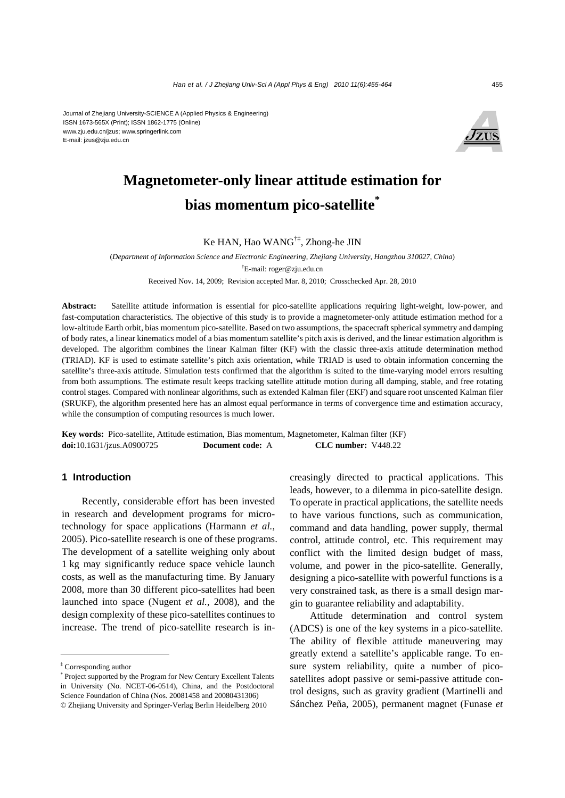

# **Magnetometer-only linear attitude estimation for bias momentum pico-satellite\***

## Ke HAN, Hao WANG†‡, Zhong-he JIN

(*Department of Information Science and Electronic Engineering, Zhejiang University, Hangzhou 310027, China*) † E-mail: roger@zju.edu.cn

Received Nov. 14, 2009; Revision accepted Mar. 8, 2010; Crosschecked Apr. 28, 2010

**Abstract:** Satellite attitude information is essential for pico-satellite applications requiring light-weight, low-power, and fast-computation characteristics. The objective of this study is to provide a magnetometer-only attitude estimation method for a low-altitude Earth orbit, bias momentum pico-satellite. Based on two assumptions, the spacecraft spherical symmetry and damping of body rates, a linear kinematics model of a bias momentum satellite's pitch axis is derived, and the linear estimation algorithm is developed. The algorithm combines the linear Kalman filter (KF) with the classic three-axis attitude determination method (TRIAD). KF is used to estimate satellite's pitch axis orientation, while TRIAD is used to obtain information concerning the satellite's three-axis attitude. Simulation tests confirmed that the algorithm is suited to the time-varying model errors resulting from both assumptions. The estimate result keeps tracking satellite attitude motion during all damping, stable, and free rotating control stages. Compared with nonlinear algorithms, such as extended Kalman filer (EKF) and square root unscented Kalman filer (SRUKF), the algorithm presented here has an almost equal performance in terms of convergence time and estimation accuracy, while the consumption of computing resources is much lower.

**Key words:** Pico-satellite, Attitude estimation, Bias momentum, Magnetometer, Kalman filter (KF) **doi:**10.1631/jzus.A0900725 **Document code:** A **CLC number:** V448.22

## **1 Introduction**

Recently, considerable effort has been invested in research and development programs for microtechnology for space applications (Harmann *et al.*, 2005). Pico-satellite research is one of these programs. The development of a satellite weighing only about 1 kg may significantly reduce space vehicle launch costs, as well as the manufacturing time. By January 2008, more than 30 different pico-satellites had been launched into space (Nugent *et al.*, 2008), and the design complexity of these pico-satellites continues to increase. The trend of pico-satellite research is increasingly directed to practical applications. This leads, however, to a dilemma in pico-satellite design. To operate in practical applications, the satellite needs to have various functions, such as communication, command and data handling, power supply, thermal control, attitude control, etc. This requirement may conflict with the limited design budget of mass, volume, and power in the pico-satellite. Generally, designing a pico-satellite with powerful functions is a very constrained task, as there is a small design margin to guarantee reliability and adaptability.

Attitude determination and control system (ADCS) is one of the key systems in a pico-satellite. The ability of flexible attitude maneuvering may greatly extend a satellite's applicable range. To ensure system reliability, quite a number of picosatellites adopt passive or semi-passive attitude control designs, such as gravity gradient (Martinelli and Sánchez Peña, 2005), permanent magnet (Funase *et* 

<sup>‡</sup> Corresponding author

<sup>\*</sup> Project supported by the Program for New Century Excellent Talents in University (No. NCET-06-0514), China, and the Postdoctoral Science Foundation of China (Nos. 20081458 and 20080431306) © Zhejiang University and Springer-Verlag Berlin Heidelberg 2010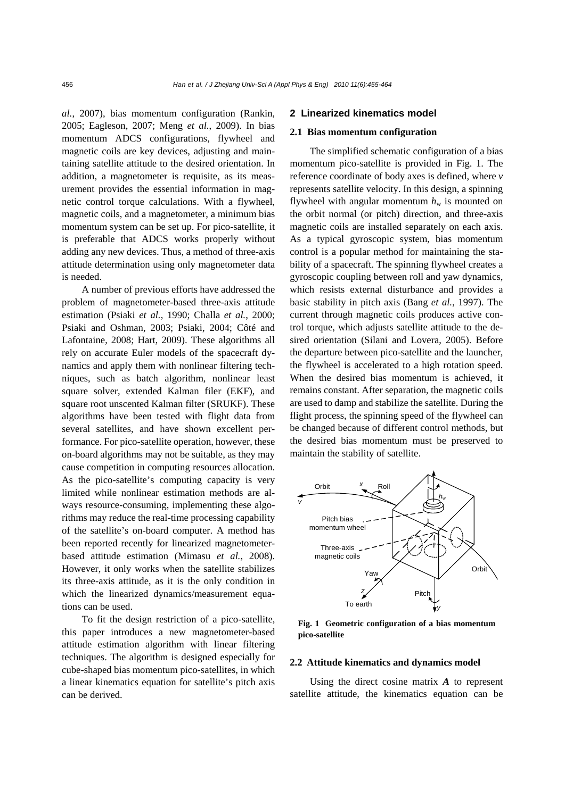*al.*, 2007), bias momentum configuration (Rankin, 2005; Eagleson, 2007; Meng *et al.*, 2009). In bias momentum ADCS configurations, flywheel and magnetic coils are key devices, adjusting and maintaining satellite attitude to the desired orientation. In addition, a magnetometer is requisite, as its measurement provides the essential information in magnetic control torque calculations. With a flywheel, magnetic coils, and a magnetometer, a minimum bias momentum system can be set up. For pico-satellite, it is preferable that ADCS works properly without adding any new devices. Thus, a method of three-axis attitude determination using only magnetometer data is needed.

A number of previous efforts have addressed the problem of magnetometer-based three-axis attitude estimation (Psiaki *et al.*, 1990; Challa *et al.*, 2000; Psiaki and Oshman, 2003; Psiaki, 2004; Côté and Lafontaine, 2008; Hart, 2009). These algorithms all rely on accurate Euler models of the spacecraft dynamics and apply them with nonlinear filtering techniques, such as batch algorithm, nonlinear least square solver, extended Kalman filer (EKF), and square root unscented Kalman filter (SRUKF). These algorithms have been tested with flight data from several satellites, and have shown excellent performance. For pico-satellite operation, however, these on-board algorithms may not be suitable, as they may cause competition in computing resources allocation. As the pico-satellite's computing capacity is very limited while nonlinear estimation methods are always resource-consuming, implementing these algorithms may reduce the real-time processing capability of the satellite's on-board computer. A method has been reported recently for linearized magnetometerbased attitude estimation (Mimasu *et al.*, 2008). However, it only works when the satellite stabilizes its three-axis attitude, as it is the only condition in which the linearized dynamics/measurement equations can be used.

To fit the design restriction of a pico-satellite, this paper introduces a new magnetometer-based attitude estimation algorithm with linear filtering techniques. The algorithm is designed especially for cube-shaped bias momentum pico-satellites, in which a linear kinematics equation for satellite's pitch axis can be derived.

## **2 Linearized kinematics model**

#### **2.1 Bias momentum configuration**

The simplified schematic configuration of a bias momentum pico-satellite is provided in Fig. 1. The reference coordinate of body axes is defined, where *v* represents satellite velocity. In this design, a spinning flywheel with angular momentum  $h_w$  is mounted on the orbit normal (or pitch) direction, and three-axis magnetic coils are installed separately on each axis. As a typical gyroscopic system, bias momentum control is a popular method for maintaining the stability of a spacecraft. The spinning flywheel creates a gyroscopic coupling between roll and yaw dynamics, which resists external disturbance and provides a basic stability in pitch axis (Bang *et al.*, 1997). The current through magnetic coils produces active control torque, which adjusts satellite attitude to the desired orientation (Silani and Lovera, 2005). Before the departure between pico-satellite and the launcher, the flywheel is accelerated to a high rotation speed. When the desired bias momentum is achieved, it remains constant. After separation, the magnetic coils are used to damp and stabilize the satellite. During the flight process, the spinning speed of the flywheel can be changed because of different control methods, but the desired bias momentum must be preserved to maintain the stability of satellite.



**Fig. 1 Geometric configuration of a bias momentum pico-satellite**

#### **2.2 Attitude kinematics and dynamics model**

Using the direct cosine matrix *A* to represent satellite attitude, the kinematics equation can be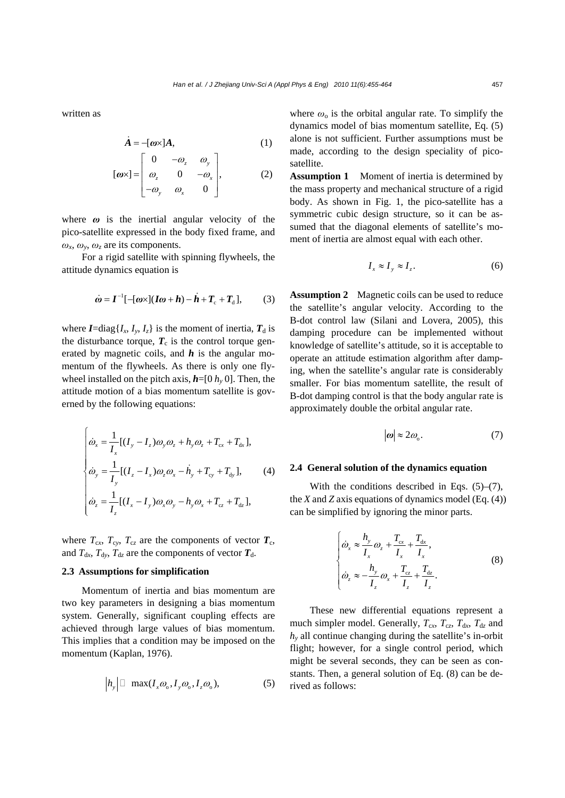written as

$$
\dot{A} = -[\omega \times]A,\tag{1}
$$

$$
[\boldsymbol{\omega} \times] = \begin{bmatrix} 0 & -\omega_z & \omega_y \\ \omega_z & 0 & -\omega_x \\ -\omega_y & \omega_x & 0 \end{bmatrix}, \qquad (2)
$$

where  $\omega$  is the inertial angular velocity of the pico-satellite expressed in the body fixed frame, and  $\omega_x$ ,  $\omega_y$ ,  $\omega_z$  are its components.

For a rigid satellite with spinning flywheels, the attitude dynamics equation is

$$
\dot{\boldsymbol{\omega}} = \boldsymbol{I}^{-1}[-[\boldsymbol{\omega} \times ](\boldsymbol{I} \boldsymbol{\omega} + \boldsymbol{h}) - \dot{\boldsymbol{h}} + \boldsymbol{T}_{\mathrm{c}} + \boldsymbol{T}_{\mathrm{d}}],\tag{3}
$$

where  $I = \text{diag}\{I_x, I_y, I_z\}$  is the moment of inertia,  $T_d$  is the disturbance torque,  $T_c$  is the control torque generated by magnetic coils, and *h* is the angular momentum of the flywheels. As there is only one flywheel installed on the pitch axis,  $h=[0, h_y, 0]$ . Then, the attitude motion of a bias momentum satellite is governed by the following equations:

$$
\begin{cases}\n\dot{\omega}_x = \frac{1}{I_x} [(I_y - I_z)\omega_y \omega_z + h_y \omega_z + T_{\text{cx}} + T_{\text{dx}}], \\
\dot{\omega}_y = \frac{1}{I_y} [(I_z - I_x)\omega_z \omega_x - \dot{h}_y + T_{\text{cy}} + T_{\text{dy}}], \\
\dot{\omega}_z = \frac{1}{I_z} [(I_x - I_y)\omega_x \omega_y - h_y \omega_x + T_{\text{cz}} + T_{\text{dx}}],\n\end{cases}
$$
\n(4)

where  $T_{\rm cx}$ ,  $T_{\rm cy}$ ,  $T_{\rm cz}$  are the components of vector  $T_{\rm c}$ , and  $T_{dx}$ ,  $T_{dy}$ ,  $T_{dz}$  are the components of vector  $T_{d}$ .

#### **2.3 Assumptions for simplification**

 $\mathcal{L}^{\text{max}}$ 

Momentum of inertia and bias momentum are two key parameters in designing a bias momentum system. Generally, significant coupling effects are achieved through large values of bias momentum. This implies that a condition may be imposed on the momentum (Kaplan, 1976).

$$
\left|h_{y}\right| \Box \ \max(I_{x}\omega_{0}, I_{y}\omega_{0}, I_{z}\omega_{0}),\tag{5}
$$

where  $\omega_0$  is the orbital angular rate. To simplify the dynamics model of bias momentum satellite, Eq. (5) alone is not sufficient. Further assumptions must be made, according to the design speciality of picosatellite.

**Assumption 1** Moment of inertia is determined by the mass property and mechanical structure of a rigid body. As shown in Fig. 1, the pico-satellite has a symmetric cubic design structure, so it can be assumed that the diagonal elements of satellite's moment of inertia are almost equal with each other.

$$
I_x \approx I_y \approx I_z. \tag{6}
$$

**Assumption 2** Magnetic coils can be used to reduce the satellite's angular velocity. According to the B-dot control law (Silani and Lovera, 2005), this damping procedure can be implemented without knowledge of satellite's attitude, so it is acceptable to operate an attitude estimation algorithm after damping, when the satellite's angular rate is considerably smaller. For bias momentum satellite, the result of B-dot damping control is that the body angular rate is approximately double the orbital angular rate.

$$
|\omega| \approx 2\omega_{\rm o}.\tag{7}
$$

#### **2.4 General solution of the dynamics equation**

With the conditions described in Eqs.  $(5)$ – $(7)$ , the *X* and *Z* axis equations of dynamics model (Eq. (4)) can be simplified by ignoring the minor parts.

$$
\begin{cases}\n\dot{\omega}_x \approx \frac{h_y}{I_x} \omega_z + \frac{T_{\text{cx}}}{I_x} + \frac{T_{\text{dx}}}{I_x}, \\
\dot{\omega}_z \approx -\frac{h_y}{I_z} \omega_x + \frac{T_{\text{cz}}}{I_z} + \frac{T_{\text{dz}}}{I_z}.\n\end{cases}
$$
\n(8)

These new differential equations represent a much simpler model. Generally,  $T_{cx}$ ,  $T_{cz}$ ,  $T_{dx}$ ,  $T_{dz}$  and *hy* all continue changing during the satellite's in-orbit flight; however, for a single control period, which might be several seconds, they can be seen as constants. Then, a general solution of Eq. (8) can be derived as follows: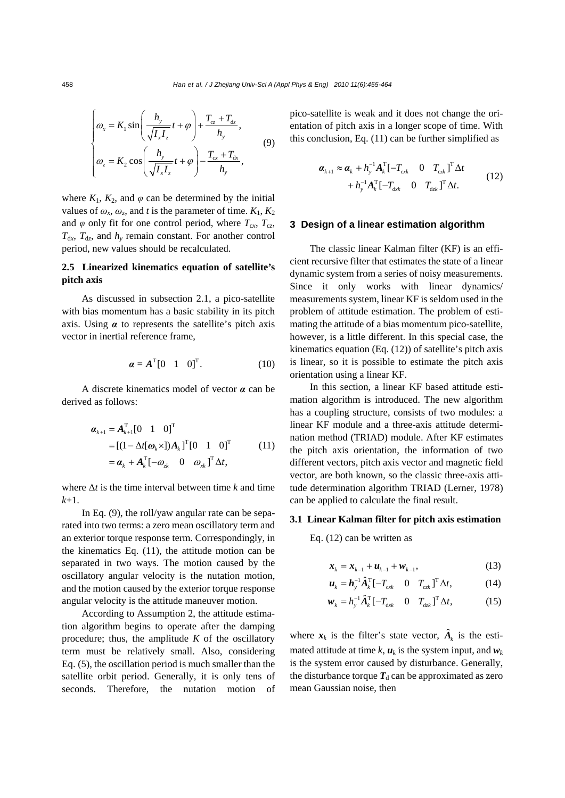$$
\begin{cases}\n\omega_x = K_1 \sin\left(\frac{h_y}{\sqrt{I_x I_z}}t + \varphi\right) + \frac{T_{cz} + T_{dz}}{h_y}, \\
\omega_z = K_2 \cos\left(\frac{h_y}{\sqrt{I_x I_z}}t + \varphi\right) - \frac{T_{cx} + T_{dx}}{h_y},\n\end{cases} \tag{9}
$$

where  $K_1$ ,  $K_2$ , and  $\varphi$  can be determined by the initial values of  $\omega_x$ ,  $\omega_z$ , and *t* is the parameter of time.  $K_1, K_2$ and  $\varphi$  only fit for one control period, where  $T_{cx}$ ,  $T_{cz}$ ,  $T_{dx}$ ,  $T_{dz}$ , and  $h_y$  remain constant. For another control period, new values should be recalculated.

## **2.5 Linearized kinematics equation of satellite's pitch axis**

As discussed in subsection 2.1, a pico-satellite with bias momentum has a basic stability in its pitch axis. Using *α* to represents the satellite's pitch axis vector in inertial reference frame,

$$
\boldsymbol{\alpha} = \boldsymbol{A}^{\mathrm{T}} [0 \quad 1 \quad 0]^{\mathrm{T}}. \tag{10}
$$

A discrete kinematics model of vector *α* can be derived as follows:

$$
\boldsymbol{\alpha}_{k+1} = \boldsymbol{A}_{k+1}^{\mathrm{T}} \begin{bmatrix} 0 & 1 & 0 \end{bmatrix}^{\mathrm{T}}
$$
  
= 
$$
\begin{bmatrix} (1 - \Delta t [\boldsymbol{\omega}_k \times]) \boldsymbol{A}_k \end{bmatrix}^{\mathrm{T}} \begin{bmatrix} 0 & 1 & 0 \end{bmatrix}^{\mathrm{T}}
$$
  
= 
$$
\boldsymbol{\alpha}_k + \boldsymbol{A}_k^{\mathrm{T}} \begin{bmatrix} -\boldsymbol{\omega}_{k} & 0 & \boldsymbol{\omega}_{k} \end{bmatrix}^{\mathrm{T}} \Delta t,
$$
 (11)

where  $\Delta t$  is the time interval between time *k* and time *k*+1.

In Eq. (9), the roll/yaw angular rate can be separated into two terms: a zero mean oscillatory term and an exterior torque response term. Correspondingly, in the kinematics Eq. (11), the attitude motion can be separated in two ways. The motion caused by the oscillatory angular velocity is the nutation motion, and the motion caused by the exterior torque response angular velocity is the attitude maneuver motion.

According to Assumption 2, the attitude estimation algorithm begins to operate after the damping procedure; thus, the amplitude  $K$  of the oscillatory term must be relatively small. Also, considering Eq. (5), the oscillation period is much smaller than the satellite orbit period. Generally, it is only tens of seconds. Therefore, the nutation motion of pico-satellite is weak and it does not change the orientation of pitch axis in a longer scope of time. With this conclusion, Eq. (11) can be further simplified as

$$
\boldsymbol{\alpha}_{k+1} \approx \boldsymbol{\alpha}_k + h_y^{-1} \boldsymbol{A}_k^{\mathrm{T}} [-T_{\mathrm{c}ik} \quad 0 \quad T_{\mathrm{c}jk}]^{\mathrm{T}} \Delta t + h_y^{-1} \boldsymbol{A}_k^{\mathrm{T}} [-T_{\mathrm{d}ik} \quad 0 \quad T_{\mathrm{d}jk}]^{\mathrm{T}} \Delta t.
$$
 (12)

## **3 Design of a linear estimation algorithm**

The classic linear Kalman filter (KF) is an efficient recursive filter that estimates the state of a linear dynamic system from a series of noisy measurements. Since it only works with linear dynamics/ measurements system, linear KF is seldom used in the problem of attitude estimation. The problem of estimating the attitude of a bias momentum pico-satellite, however, is a little different. In this special case, the kinematics equation (Eq. (12)) of satellite's pitch axis is linear, so it is possible to estimate the pitch axis orientation using a linear KF.

In this section, a linear KF based attitude estimation algorithm is introduced. The new algorithm has a coupling structure, consists of two modules: a linear KF module and a three-axis attitude determination method (TRIAD) module. After KF estimates the pitch axis orientation, the information of two different vectors, pitch axis vector and magnetic field vector, are both known, so the classic three-axis attitude determination algorithm TRIAD (Lerner, 1978) can be applied to calculate the final result.

## **3.1 Linear Kalman filter for pitch axis estimation**

Eq. (12) can be written as

$$
x_k = x_{k-1} + u_{k-1} + w_{k-1},
$$
 (13)

$$
\boldsymbol{u}_{k} = \boldsymbol{h}_{y}^{-1} \hat{\boldsymbol{A}}_{k}^{\mathrm{T}} [-T_{\mathrm{c},k} \quad 0 \quad T_{\mathrm{c},k} ]^{\mathrm{T}} \Delta t, \tag{14}
$$

$$
\boldsymbol{w}_{k} = h_{y}^{-1} \hat{\boldsymbol{A}}_{k}^{\mathrm{T}} [-T_{\mathrm{d}x} \quad 0 \quad T_{\mathrm{d}z} ]^{\mathrm{T}} \Delta t, \tag{15}
$$

where  $\mathbf{x}_k$  is the filter's state vector,  $\hat{\mathbf{A}}_k$  is the estimated attitude at time  $k$ ,  $u_k$  is the system input, and  $w_k$ is the system error caused by disturbance. Generally, the disturbance torque  $T_d$  can be approximated as zero mean Gaussian noise, then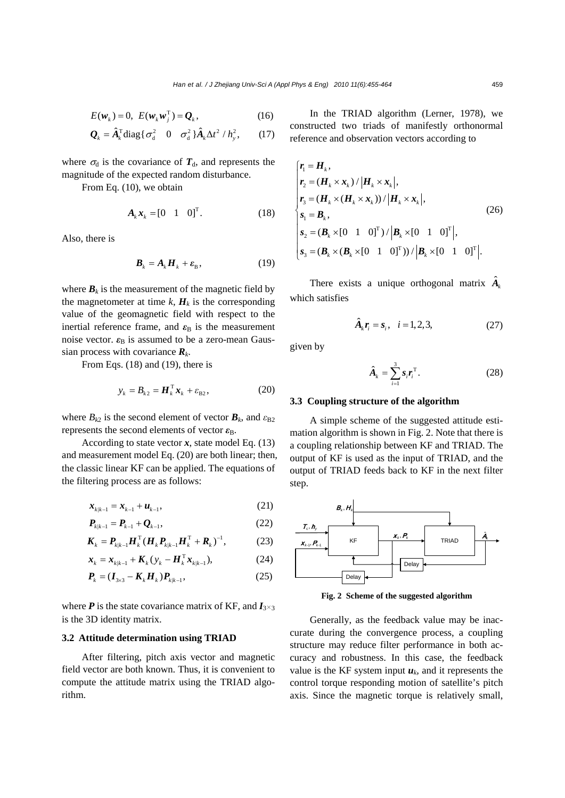$$
E(\boldsymbol{w}_k) = 0, \ E(\boldsymbol{w}_k \boldsymbol{w}_j^{\mathrm{T}}) = \boldsymbol{Q}_k, \tag{16}
$$

$$
\mathbf{Q}_{k} = \hat{\mathbf{A}}_{k}^{\mathrm{T}} \text{diag} \{ \sigma_{d}^{2} \quad 0 \quad \sigma_{d}^{2} \} \hat{\mathbf{A}}_{k} \Delta t^{2} / h_{y}^{2}, \qquad (17)
$$

where  $\sigma_d$  is the covariance of  $T_d$ , and represents the magnitude of the expected random disturbance.

From Eq. (10), we obtain

$$
\mathbf{A}_k \mathbf{x}_k = \begin{bmatrix} 0 & 1 & 0 \end{bmatrix}^\mathrm{T} . \tag{18}
$$

Also, there is

$$
\boldsymbol{B}_k = \boldsymbol{A}_k \boldsymbol{H}_k + \boldsymbol{\varepsilon}_B, \tag{19}
$$

where  $B_k$  is the measurement of the magnetic field by the magnetometer at time  $k$ ,  $H_k$  is the corresponding value of the geomagnetic field with respect to the inertial reference frame, and  $\varepsilon_{\rm B}$  is the measurement noise vector.  $\varepsilon_B$  is assumed to be a zero-mean Gaussian process with covariance *Rk*.

From Eqs. (18) and (19), there is

$$
y_k = B_{k2} = \boldsymbol{H}_k^{\mathrm{T}} \boldsymbol{x}_k + \varepsilon_{\mathrm{B2}},\tag{20}
$$

where  $B_{k2}$  is the second element of vector  $\mathbf{B}_k$ , and  $\varepsilon_{\text{B2}}$ represents the second elements of vector  $\varepsilon_{\rm B}$ .

According to state vector  $x$ , state model Eq. (13) and measurement model Eq. (20) are both linear; then, the classic linear KF can be applied. The equations of the filtering process are as follows:

$$
x_{k|k-1} = x_{k-1} + u_{k-1},
$$
\n(21)

$$
\boldsymbol{P}_{k|k-1} = \boldsymbol{P}_{k-1} + \boldsymbol{Q}_{k-1},
$$
\n(22)

$$
\boldsymbol{K}_{k} = \boldsymbol{P}_{k|k-1} \boldsymbol{H}_{k}^{\mathrm{T}} (\boldsymbol{H}_{k} \boldsymbol{P}_{k|k-1} \boldsymbol{H}_{k}^{\mathrm{T}} + \boldsymbol{R}_{k})^{-1}, \tag{23}
$$

$$
\boldsymbol{x}_{k} = \boldsymbol{x}_{k|k-1} + \boldsymbol{K}_{k} \left( \boldsymbol{y}_{k} - \boldsymbol{H}_{k}^{\mathrm{T}} \boldsymbol{x}_{k|k-1} \right), \tag{24}
$$

$$
\boldsymbol{P}_{k} = (\boldsymbol{I}_{3\times 3} - \boldsymbol{K}_{k} \boldsymbol{H}_{k}) \boldsymbol{P}_{k|k-1},
$$
\n(25)

where  $P$  is the state covariance matrix of KF, and  $I_{3\times 3}$ is the 3D identity matrix.

#### **3.2 Attitude determination using TRIAD**

After filtering, pitch axis vector and magnetic field vector are both known. Thus, it is convenient to compute the attitude matrix using the TRIAD algorithm.

In the TRIAD algorithm (Lerner, 1978), we constructed two triads of manifestly orthonormal reference and observation vectors according to

$$
\begin{cases}\n\mathbf{r}_{1} = \mathbf{H}_{k}, \\
\mathbf{r}_{2} = (\mathbf{H}_{k} \times \mathbf{x}_{k}) / |\mathbf{H}_{k} \times \mathbf{x}_{k}|, \\
\mathbf{r}_{3} = (\mathbf{H}_{k} \times (\mathbf{H}_{k} \times \mathbf{x}_{k})) / |\mathbf{H}_{k} \times \mathbf{x}_{k}|, \\
\mathbf{s}_{1} = \mathbf{B}_{k}, \\
\mathbf{s}_{2} = (\mathbf{B}_{k} \times [0 \quad 1 \quad 0]^{\mathrm{T}}) / |\mathbf{B}_{k} \times [0 \quad 1 \quad 0]^{\mathrm{T}}|, \\
\mathbf{s}_{3} = (\mathbf{B}_{k} \times (\mathbf{B}_{k} \times [0 \quad 1 \quad 0]^{\mathrm{T}})) / |\mathbf{B}_{k} \times [0 \quad 1 \quad 0]^{\mathrm{T}}].\n\end{cases}
$$
\n(26)

There exists a unique orthogonal matrix  $\hat{A}_k$ which satisfies

$$
\hat{A}_k r_i = s_i, \quad i = 1, 2, 3,
$$
 (27)

given by

$$
\hat{A}_k = \sum_{i=1}^3 s_i \boldsymbol{r}_i^{\mathrm{T}}.
$$
 (28)

#### **3.3 Coupling structure of the algorithm**

A simple scheme of the suggested attitude estimation algorithm is shown in Fig. 2. Note that there is a coupling relationship between KF and TRIAD. The output of KF is used as the input of TRIAD, and the output of TRIAD feeds back to KF in the next filter step.



**Fig. 2 Scheme of the suggested algorithm**

Generally, as the feedback value may be inaccurate during the convergence process, a coupling structure may reduce filter performance in both accuracy and robustness. In this case, the feedback value is the KF system input  $u_k$ , and it represents the control torque responding motion of satellite's pitch axis. Since the magnetic torque is relatively small,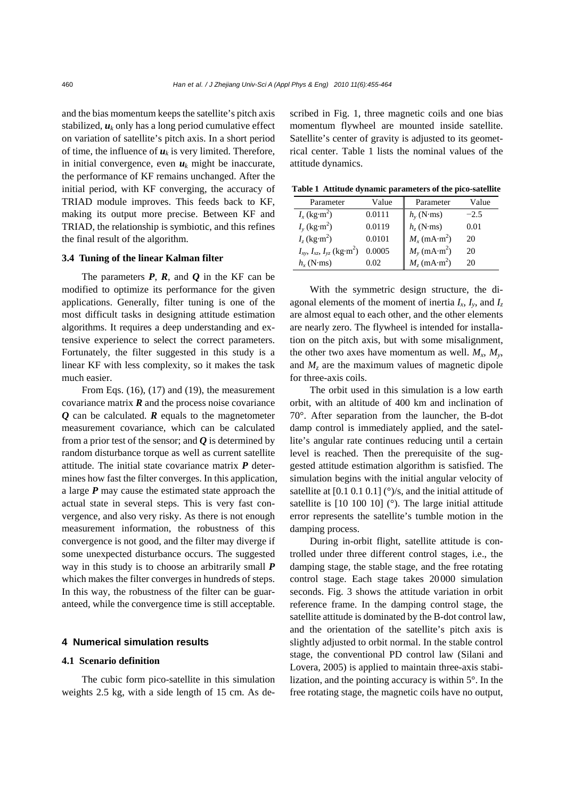and the bias momentum keeps the satellite's pitch axis stabilized,  $\boldsymbol{u}_k$  only has a long period cumulative effect on variation of satellite's pitch axis. In a short period of time, the influence of  $u_k$  is very limited. Therefore, in initial convergence, even  $u_k$  might be inaccurate, the performance of KF remains unchanged. After the initial period, with KF converging, the accuracy of TRIAD module improves. This feeds back to KF, making its output more precise. Between KF and TRIAD, the relationship is symbiotic, and this refines the final result of the algorithm.

## **3.4 Tuning of the linear Kalman filter**

The parameters *P*, *R*, and *Q* in the KF can be modified to optimize its performance for the given applications. Generally, filter tuning is one of the most difficult tasks in designing attitude estimation algorithms. It requires a deep understanding and extensive experience to select the correct parameters. Fortunately, the filter suggested in this study is a linear KF with less complexity, so it makes the task much easier.

From Eqs. (16), (17) and (19), the measurement covariance matrix  $\bf{R}$  and the process noise covariance *Q* can be calculated. *R* equals to the magnetometer measurement covariance, which can be calculated from a prior test of the sensor; and *Q* is determined by random disturbance torque as well as current satellite attitude. The initial state covariance matrix *P* determines how fast the filter converges. In this application, a large *P* may cause the estimated state approach the actual state in several steps. This is very fast convergence, and also very risky. As there is not enough measurement information, the robustness of this convergence is not good, and the filter may diverge if some unexpected disturbance occurs. The suggested way in this study is to choose an arbitrarily small *P* which makes the filter converges in hundreds of steps. In this way, the robustness of the filter can be guaranteed, while the convergence time is still acceptable.

#### **4 Numerical simulation results**

## **4.1 Scenario definition**

The cubic form pico-satellite in this simulation weights 2.5 kg, with a side length of 15 cm. As described in Fig. 1, three magnetic coils and one bias momentum flywheel are mounted inside satellite. Satellite's center of gravity is adjusted to its geometrical center. Table 1 lists the nominal values of the attitude dynamics.

**Table 1 Attitude dynamic parameters of the pico-satellite**

| Parameter                                     | Value  | Parameter                            | Value  |
|-----------------------------------------------|--------|--------------------------------------|--------|
| $I_x$ (kg·m <sup>2</sup> )                    | 0.0111 | $h_{y}$ (N·ms)                       | $-2.5$ |
| $I_{y}$ (kg·m <sup>2</sup> )                  | 0.0119 | $h_z$ (N·ms)                         | 0.01   |
| $I_z$ (kg·m <sup>2</sup> )                    | 0.0101 | $M_x$ (mA·m <sup>2</sup> )           | 20     |
| $I_{xy}, I_{xz}, I_{yz}$ (kg·m <sup>2</sup> ) | 0.0005 | $M_{y}$ (mA $\cdot$ m <sup>2</sup> ) | 20     |
| $h_r$ (N·ms)                                  | 0.02   | $M_z$ (mA $\cdot$ m <sup>2</sup> )   | 20     |

With the symmetric design structure, the diagonal elements of the moment of inertia  $I_x$ ,  $I_y$ , and  $I_z$ are almost equal to each other, and the other elements are nearly zero. The flywheel is intended for installation on the pitch axis, but with some misalignment, the other two axes have momentum as well.  $M_x$ ,  $M_y$ , and  $M<sub>z</sub>$  are the maximum values of magnetic dipole for three-axis coils.

The orbit used in this simulation is a low earth orbit, with an altitude of 400 km and inclination of 70°. After separation from the launcher, the B-dot damp control is immediately applied, and the satellite's angular rate continues reducing until a certain level is reached. Then the prerequisite of the suggested attitude estimation algorithm is satisfied. The simulation begins with the initial angular velocity of satellite at  $[0.1 0.1 0.1]$  ( $\degree$ )/s, and the initial attitude of satellite is [10 100 10] (°). The large initial attitude error represents the satellite's tumble motion in the damping process.

During in-orbit flight, satellite attitude is controlled under three different control stages, i.e., the damping stage, the stable stage, and the free rotating control stage. Each stage takes 20000 simulation seconds. Fig. 3 shows the attitude variation in orbit reference frame. In the damping control stage, the satellite attitude is dominated by the B-dot control law, and the orientation of the satellite's pitch axis is slightly adjusted to orbit normal. In the stable control stage, the conventional PD control law (Silani and Lovera, 2005) is applied to maintain three-axis stabilization, and the pointing accuracy is within 5°. In the free rotating stage, the magnetic coils have no output,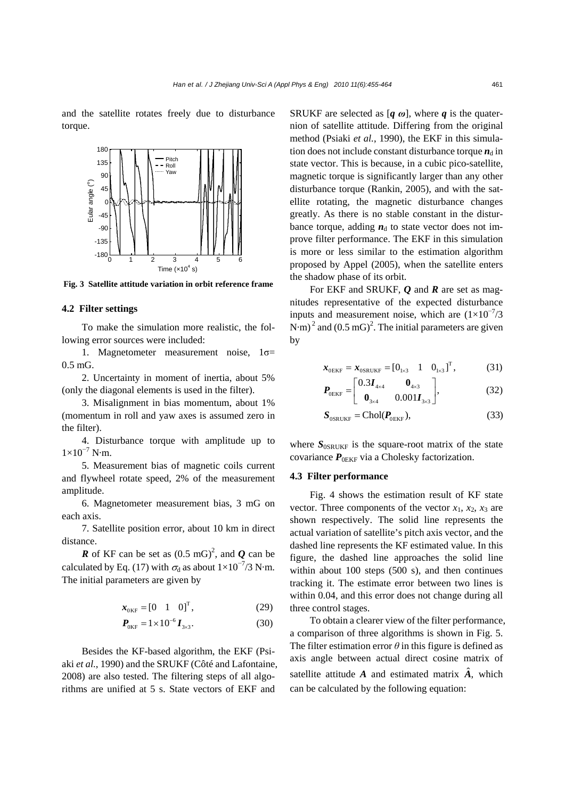and the satellite rotates freely due to disturbance torque.



**Fig. 3 Satellite attitude variation in orbit reference frame**

## **4.2 Filter settings**

To make the simulation more realistic, the following error sources were included:

1. Magnetometer measurement noise, 1σ= 0.5 mG.

2. Uncertainty in moment of inertia, about 5% (only the diagonal elements is used in the filter).

3. Misalignment in bias momentum, about 1% (momentum in roll and yaw axes is assumed zero in the filter).

4. Disturbance torque with amplitude up to  $1\times10^{-7}$  N·m.

5. Measurement bias of magnetic coils current and flywheel rotate speed, 2% of the measurement amplitude.

6. Magnetometer measurement bias, 3 mG on each axis.

7. Satellite position error, about 10 km in direct distance.

*R* of KF can be set as  $(0.5 \text{ mG})^2$ , and *Q* can be calculated by Eq. (17) with  $\sigma_d$  as about 1×10<sup>-7</sup>/3 N·m. The initial parameters are given by

$$
\boldsymbol{x}_{0KF} = \begin{bmatrix} 0 & 1 & 0 \end{bmatrix}^T, \tag{29}
$$

$$
\boldsymbol{P}_{0KF} = 1 \times 10^{-6} \boldsymbol{I}_{3 \times 3}.
$$
 (30)

Besides the KF-based algorithm, the EKF (Psiaki *et al.*, 1990) and the SRUKF (Côté and Lafontaine, 2008) are also tested. The filtering steps of all algorithms are unified at 5 s. State vectors of EKF and

SRUKF are selected as  $[q \omega]$ , where q is the quaternion of satellite attitude. Differing from the original method (Psiaki *et al.*, 1990), the EKF in this simulation does not include constant disturbance torque  $n_d$  in state vector. This is because, in a cubic pico-satellite, magnetic torque is significantly larger than any other disturbance torque (Rankin, 2005), and with the satellite rotating, the magnetic disturbance changes greatly. As there is no stable constant in the disturbance torque, adding  $n_d$  to state vector does not improve filter performance. The EKF in this simulation is more or less similar to the estimation algorithm proposed by Appel (2005), when the satellite enters the shadow phase of its orbit.

For EKF and SRUKF, *Q* and *R* are set as magnitudes representative of the expected disturbance inputs and measurement noise, which are  $(1\times10^{-7})$ /3 N·m)<sup>2</sup> and  $(0.5 \text{ mG})^2$ . The initial parameters are given by

$$
x_{0EKF} = x_{0SRUKF} = [0_{1 \times 3} 1 0_{1 \times 3}]^{T}, \qquad (31)
$$

$$
\boldsymbol{P}_{0EKF} = \begin{bmatrix} 0.3\boldsymbol{I}_{4\times4} & \boldsymbol{0}_{4\times3} \\ \boldsymbol{0}_{3\times4} & 0.001\boldsymbol{I}_{3\times3} \end{bmatrix},
$$
(32)

$$
S_{\text{OSRUKF}} = \text{Chol}(P_{\text{0EKF}}),\tag{33}
$$

where  $S_{\text{OSRUKF}}$  is the square-root matrix of the state covariance  $P_{0EKF}$  via a Cholesky factorization.

#### **4.3 Filter performance**

Fig. 4 shows the estimation result of KF state vector. Three components of the vector  $x_1, x_2, x_3$  are shown respectively. The solid line represents the actual variation of satellite's pitch axis vector, and the dashed line represents the KF estimated value. In this figure, the dashed line approaches the solid line within about 100 steps (500 s), and then continues tracking it. The estimate error between two lines is within 0.04, and this error does not change during all three control stages.

To obtain a clearer view of the filter performance, a comparison of three algorithms is shown in Fig. 5. The filter estimation error  $\theta$  in this figure is defined as axis angle between actual direct cosine matrix of satellite attitude  $\vec{A}$  and estimated matrix  $\hat{A}$ , which can be calculated by the following equation: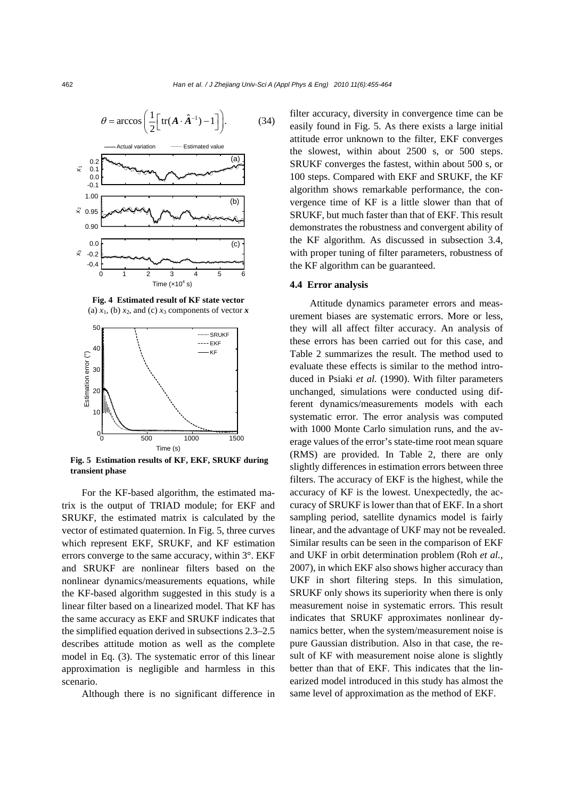

**Fig. 4 Estimated result of KF state vector**  (a)  $x_1$ , (b)  $x_2$ , and (c)  $x_3$  components of vector  $\boldsymbol{x}$ 

Time  $(x10^4 s)$ 



**Fig. 5 Estimation results of KF, EKF, SRUKF during transient phase** 

For the KF-based algorithm, the estimated matrix is the output of TRIAD module; for EKF and SRUKF, the estimated matrix is calculated by the vector of estimated quaternion. In Fig. 5, three curves which represent EKF, SRUKF, and KF estimation errors converge to the same accuracy, within 3°. EKF and SRUKF are nonlinear filters based on the nonlinear dynamics/measurements equations, while the KF-based algorithm suggested in this study is a linear filter based on a linearized model. That KF has the same accuracy as EKF and SRUKF indicates that the simplified equation derived in subsections 2.3–2.5 describes attitude motion as well as the complete model in Eq. (3). The systematic error of this linear approximation is negligible and harmless in this scenario.

Although there is no significant difference in

filter accuracy, diversity in convergence time can be easily found in Fig. 5. As there exists a large initial attitude error unknown to the filter, EKF converges the slowest, within about 2500 s, or 500 steps. SRUKF converges the fastest, within about 500 s, or 100 steps. Compared with EKF and SRUKF, the KF algorithm shows remarkable performance, the convergence time of KF is a little slower than that of SRUKF, but much faster than that of EKF. This result demonstrates the robustness and convergent ability of the KF algorithm. As discussed in subsection 3.4, with proper tuning of filter parameters, robustness of the KF algorithm can be guaranteed.

## **4.4 Error analysis**

Attitude dynamics parameter errors and measurement biases are systematic errors. More or less, they will all affect filter accuracy. An analysis of these errors has been carried out for this case, and Table 2 summarizes the result. The method used to evaluate these effects is similar to the method introduced in Psiaki *et al.* (1990). With filter parameters unchanged, simulations were conducted using different dynamics/measurements models with each systematic error. The error analysis was computed with 1000 Monte Carlo simulation runs, and the average values of the error's state-time root mean square (RMS) are provided. In Table 2, there are only slightly differences in estimation errors between three filters. The accuracy of EKF is the highest, while the accuracy of KF is the lowest. Unexpectedly, the accuracy of SRUKF is lower than that of EKF. In a short sampling period, satellite dynamics model is fairly linear, and the advantage of UKF may not be revealed. Similar results can be seen in the comparison of EKF and UKF in orbit determination problem (Roh *et al.*, 2007), in which EKF also shows higher accuracy than UKF in short filtering steps. In this simulation, SRUKF only shows its superiority when there is only measurement noise in systematic errors. This result indicates that SRUKF approximates nonlinear dynamics better, when the system/measurement noise is pure Gaussian distribution. Also in that case, the result of KF with measurement noise alone is slightly better than that of EKF. This indicates that the linearized model introduced in this study has almost the same level of approximation as the method of EKF.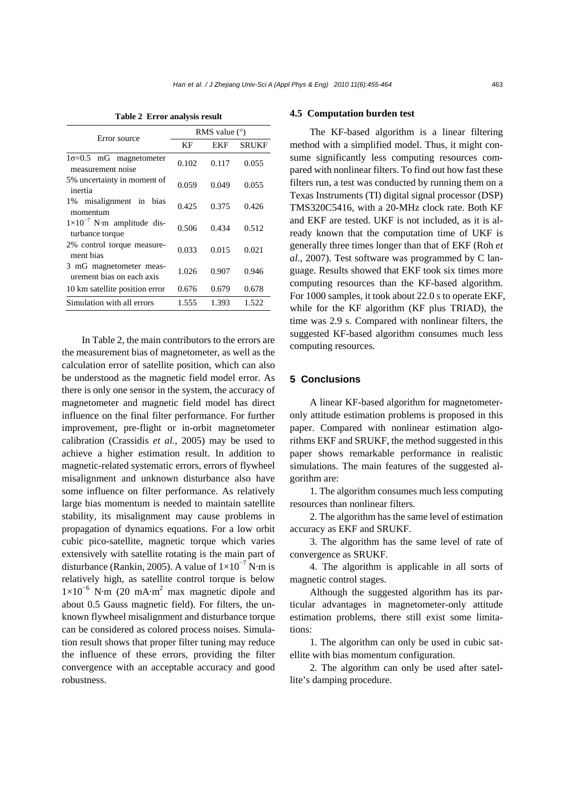| Error source                                             | RMS value $(°)$ |       |              |
|----------------------------------------------------------|-----------------|-------|--------------|
|                                                          | КF              | EKF   | <b>SRUKF</b> |
| $1\sigma=0.5$ mG magnetometer<br>measurement noise       | 0.102           | 0.117 | 0.055        |
| 5% uncertainty in moment of<br>inertia                   | 0.059           | 0.049 | 0.055        |
| 1% misalignment in bias<br>momentum                      | 0.425           | 0.375 | 0.426        |
| $1 \times 10^{-7}$ N·m amplitude dis-<br>turbance torque | 0.506           | 0.434 | 0.512        |
| 2% control torque measure-<br>ment bias                  | 0.033           | 0.015 | 0.021        |
| 3 mG magnetometer meas-<br>urement bias on each axis     | 1.026           | 0.907 | 0.946        |
| 10 km satellite position error                           | 0.676           | 0.679 | 0.678        |
| Simulation with all errors                               | 1.555           | 1.393 | 1.522        |

**Table 2 Error analysis result** 

In Table 2, the main contributors to the errors are the measurement bias of magnetometer, as well as the calculation error of satellite position, which can also be understood as the magnetic field model error. As there is only one sensor in the system, the accuracy of magnetometer and magnetic field model has direct influence on the final filter performance. For further improvement, pre-flight or in-orbit magnetometer calibration (Crassidis *et al.*, 2005) may be used to achieve a higher estimation result. In addition to magnetic-related systematic errors, errors of flywheel misalignment and unknown disturbance also have some influence on filter performance. As relatively large bias momentum is needed to maintain satellite stability, its misalignment may cause problems in propagation of dynamics equations. For a low orbit cubic pico-satellite, magnetic torque which varies extensively with satellite rotating is the main part of disturbance (Rankin, 2005). A value of  $1 \times 10^{-7}$  N·m is relatively high, as satellite control torque is below 1×10<sup>−</sup><sup>6</sup> N·m (20 mA·m2 max magnetic dipole and about 0.5 Gauss magnetic field). For filters, the unknown flywheel misalignment and disturbance torque can be considered as colored process noises. Simulation result shows that proper filter tuning may reduce the influence of these errors, providing the filter convergence with an acceptable accuracy and good robustness.

#### **4.5 Computation burden test**

The KF-based algorithm is a linear filtering method with a simplified model. Thus, it might consume significantly less computing resources compared with nonlinear filters. To find out how fast these filters run, a test was conducted by running them on a Texas Instruments (TI) digital signal processor (DSP) TMS320C5416, with a 20-MHz clock rate. Both KF and EKF are tested. UKF is not included, as it is already known that the computation time of UKF is generally three times longer than that of EKF (Roh *et al.*, 2007). Test software was programmed by C language. Results showed that EKF took six times more computing resources than the KF-based algorithm. For 1000 samples, it took about 22.0 s to operate EKF, while for the KF algorithm (KF plus TRIAD), the time was 2.9 s. Compared with nonlinear filters, the suggested KF-based algorithm consumes much less computing resources.

## **5 Conclusions**

A linear KF-based algorithm for magnetometeronly attitude estimation problems is proposed in this paper. Compared with nonlinear estimation algorithms EKF and SRUKF, the method suggested in this paper shows remarkable performance in realistic simulations. The main features of the suggested algorithm are:

1. The algorithm consumes much less computing resources than nonlinear filters.

2. The algorithm has the same level of estimation accuracy as EKF and SRUKF.

3. The algorithm has the same level of rate of convergence as SRUKF.

4. The algorithm is applicable in all sorts of magnetic control stages.

Although the suggested algorithm has its particular advantages in magnetometer-only attitude estimation problems, there still exist some limitations:

1. The algorithm can only be used in cubic satellite with bias momentum configuration.

2. The algorithm can only be used after satellite's damping procedure.